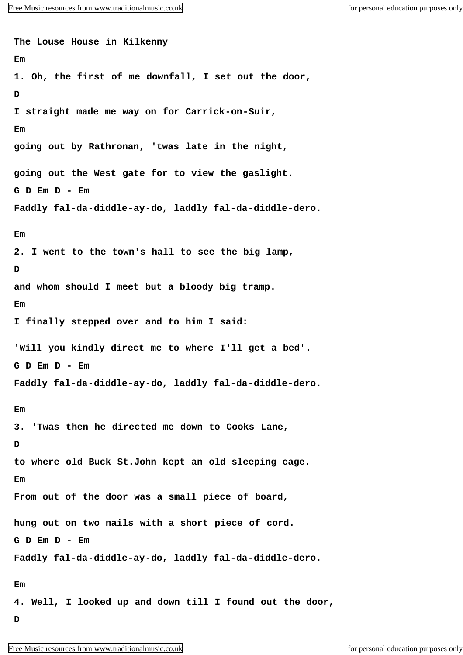**The Louse House in Kilkenny Em 1. Oh, the first of me downfall, I set out the door, D I straight made me way on for Carrick-on-Suir, Em going out by Rathronan, 'twas late in the night, going out the West gate for to view the gaslight. G D Em D - Em Faddly fal-da-diddle-ay-do, laddly fal-da-diddle-dero. Em 2. I went to the town's hall to see the big lamp, D and whom should I meet but a bloody big tramp. Em I finally stepped over and to him I said: 'Will you kindly direct me to where I'll get a bed'. G D Em D - Em Faddly fal-da-diddle-ay-do, laddly fal-da-diddle-dero. Em 3. 'Twas then he directed me down to Cooks Lane, D to where old Buck St.John kept an old sleeping cage. Em From out of the door was a small piece of board, hung out on two nails with a short piece of cord. G D Em D - Em Faddly fal-da-diddle-ay-do, laddly fal-da-diddle-dero. Em 4. Well, I looked up and down till I found out the door, D**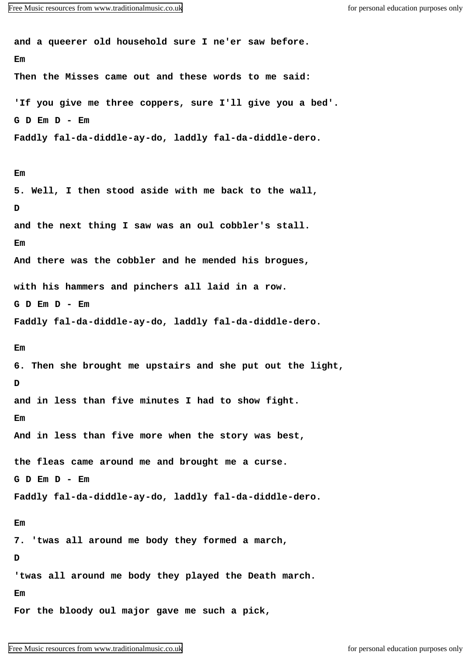**and a queerer old household sure I ne'er saw before. Em Then the Misses came out and these words to me said: 'If you give me three coppers, sure I'll give you a bed'. G D Em D - Em Faddly fal-da-diddle-ay-do, laddly fal-da-diddle-dero. Em 5. Well, I then stood aside with me back to the wall, D and the next thing I saw was an oul cobbler's stall. Em And there was the cobbler and he mended his brogues, with his hammers and pinchers all laid in a row. G D Em D - Em Faddly fal-da-diddle-ay-do, laddly fal-da-diddle-dero. Em 6. Then she brought me upstairs and she put out the light, D and in less than five minutes I had to show fight. Em And in less than five more when the story was best, the fleas came around me and brought me a curse. G D Em D - Em Faddly fal-da-diddle-ay-do, laddly fal-da-diddle-dero. Em 7. 'twas all around me body they formed a march, D 'twas all around me body they played the Death march. Em For the bloody oul major gave me such a pick,**